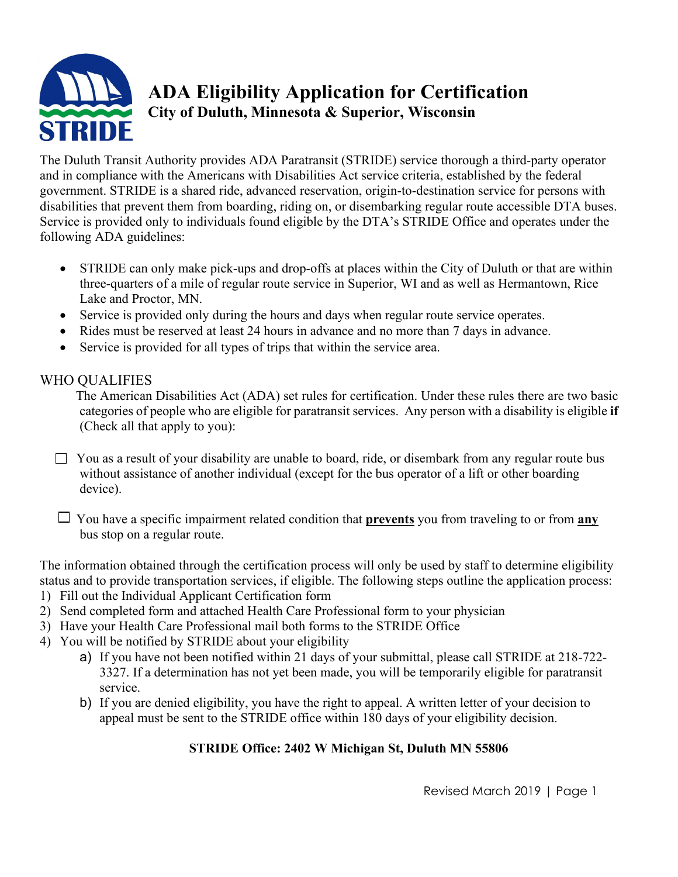

# **ADA Eligibility Application for Certification City of Duluth, Minnesota & Superior, Wisconsin**

The Duluth Transit Authority provides ADA Paratransit (STRIDE) service thorough a third-party operator and in compliance with the Americans with Disabilities Act service criteria, established by the federal government. STRIDE is a shared ride, advanced reservation, origin-to-destination service for persons with disabilities that prevent them from boarding, riding on, or disembarking regular route accessible DTA buses. Service is provided only to individuals found eligible by the DTA's STRIDE Office and operates under the following ADA guidelines:

- STRIDE can only make pick-ups and drop-offs at places within the City of Duluth or that are within three-quarters of a mile of regular route service in Superior, WI and as well as Hermantown, Rice Lake and Proctor, MN.
- Service is provided only during the hours and days when regular route service operates.
- Rides must be reserved at least 24 hours in advance and no more than 7 days in advance.
- Service is provided for all types of trips that within the service area.

# WHO QUALIFIES

 The American Disabilities Act (ADA) set rules for certification. Under these rules there are two basic categories of people who are eligible for paratransit services. Any person with a disability is eligible **if** (Check all that apply to you):

 $\Box$  You as a result of your disability are unable to board, ride, or disembark from any regular route bus without assistance of another individual (except for the bus operator of a lift or other boarding device).

 $\Box$  You have a specific impairment related condition that **prevents** you from traveling to or from  $\overline{any}$ bus stop on a regular route.

The information obtained through the certification process will only be used by staff to determine eligibility status and to provide transportation services, if eligible. The following steps outline the application process:

- 1) Fill out the Individual Applicant Certification form
- 2) Send completed form and attached Health Care Professional form to your physician
- 3) Have your Health Care Professional mail both forms to the STRIDE Office
- 4) You will be notified by STRIDE about your eligibility
	- a) If you have not been notified within 21 days of your submittal, please call STRIDE at 218-722- 3327. If a determination has not yet been made, you will be temporarily eligible for paratransit service.
	- b) If you are denied eligibility, you have the right to appeal. A written letter of your decision to appeal must be sent to the STRIDE office within 180 days of your eligibility decision.

# **STRIDE Office: 2402 W Michigan St, Duluth MN 55806**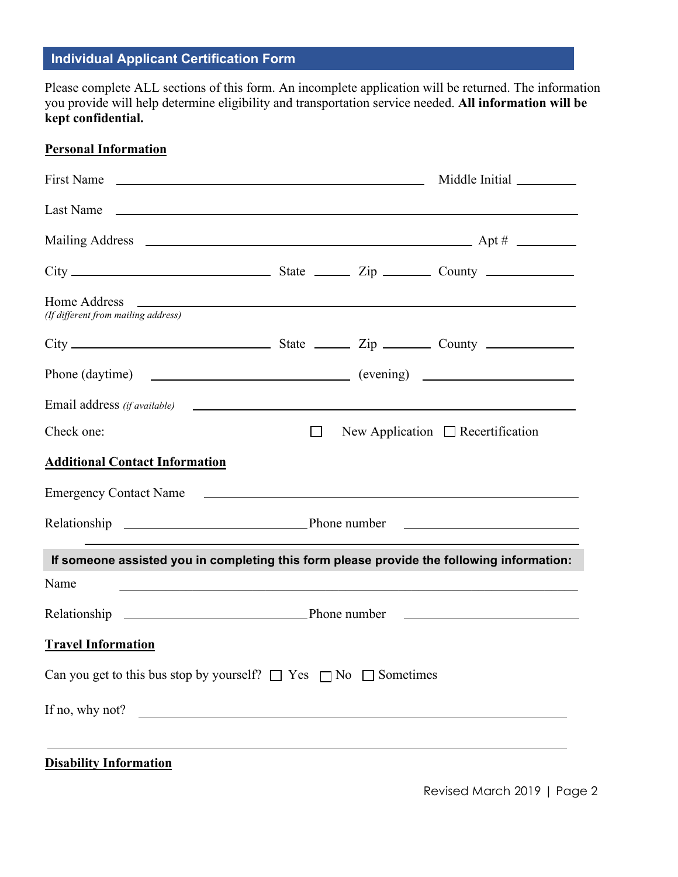# **Individual Applicant Certification Form**

Please complete ALL sections of this form. An incomplete application will be returned. The information you provide will help determine eligibility and transportation service needed. **All information will be kept confidential.**

## **Personal Information**

|                                                                                           |        | Middle Initial                         |
|-------------------------------------------------------------------------------------------|--------|----------------------------------------|
|                                                                                           |        |                                        |
|                                                                                           |        |                                        |
|                                                                                           |        |                                        |
| (If different from mailing address)                                                       |        |                                        |
|                                                                                           |        |                                        |
|                                                                                           |        |                                        |
| Email address (if available)                                                              |        |                                        |
| Check one:                                                                                | $\Box$ | New Application $\Box$ Recertification |
| <b>Additional Contact Information</b>                                                     |        |                                        |
|                                                                                           |        |                                        |
|                                                                                           |        |                                        |
| If someone assisted you in completing this form please provide the following information: |        |                                        |
| Name                                                                                      |        |                                        |
|                                                                                           |        |                                        |
| <b>Travel Information</b>                                                                 |        |                                        |
| Can you get to this bus stop by yourself? $\Box$ Yes $\Box$ No $\Box$ Sometimes           |        |                                        |
| If no, why not?                                                                           |        |                                        |
|                                                                                           |        |                                        |

**Disability Information**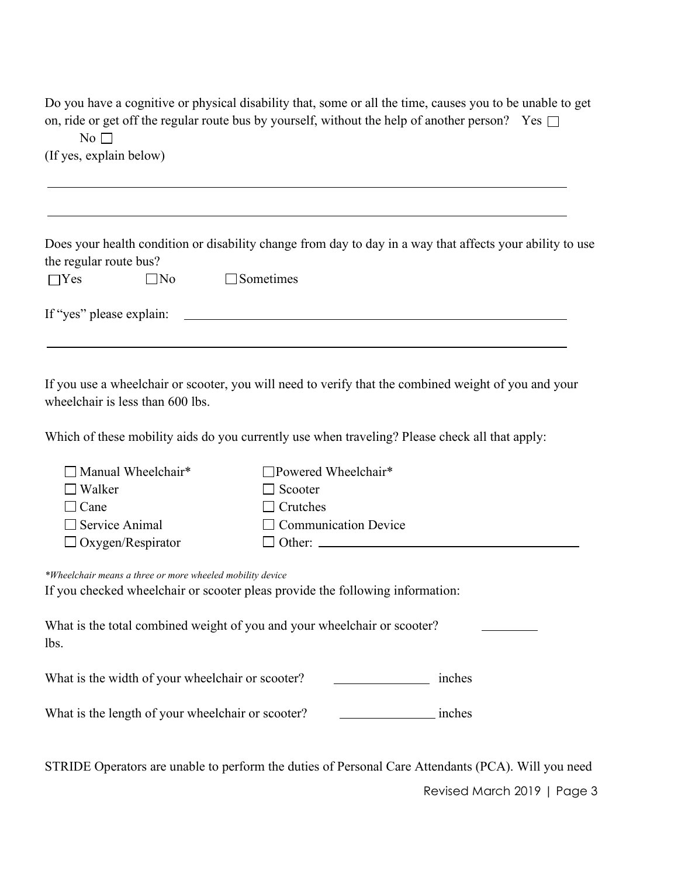Do you have a cognitive or physical disability that, some or all the time, causes you to be unable to get on, ride or get off the regular route bus by yourself, without the help of another person? Yes  $\Box$ 

 $No \square$ (If yes, explain below)

|                          |              |                  | Does your health condition or disability change from day to day in a way that affects your ability to use |
|--------------------------|--------------|------------------|-----------------------------------------------------------------------------------------------------------|
| the regular route bus?   |              |                  |                                                                                                           |
| $\Box$ Yes               | $\square$ No | $\Box$ Sometimes |                                                                                                           |
| If "yes" please explain: |              |                  |                                                                                                           |
|                          |              |                  |                                                                                                           |

Which of these mobility aids do you currently use when traveling? Please check all that apply:

| $\Box$ Powered Wheelchair*  |
|-----------------------------|
| $\Box$ Scooter              |
| $\Box$ Crutches             |
| $\Box$ Communication Device |
|                             |
|                             |

*\*Wheelchair means a three or more wheeled mobility device* If you checked wheelchair or scooter pleas provide the following information:

What is the total combined weight of you and your wheelchair or scooter? lbs.

What is the width of your wheelchair or scooter? inches

What is the length of your wheelchair or scooter? inches

STRIDE Operators are unable to perform the duties of Personal Care Attendants (PCA). Will you need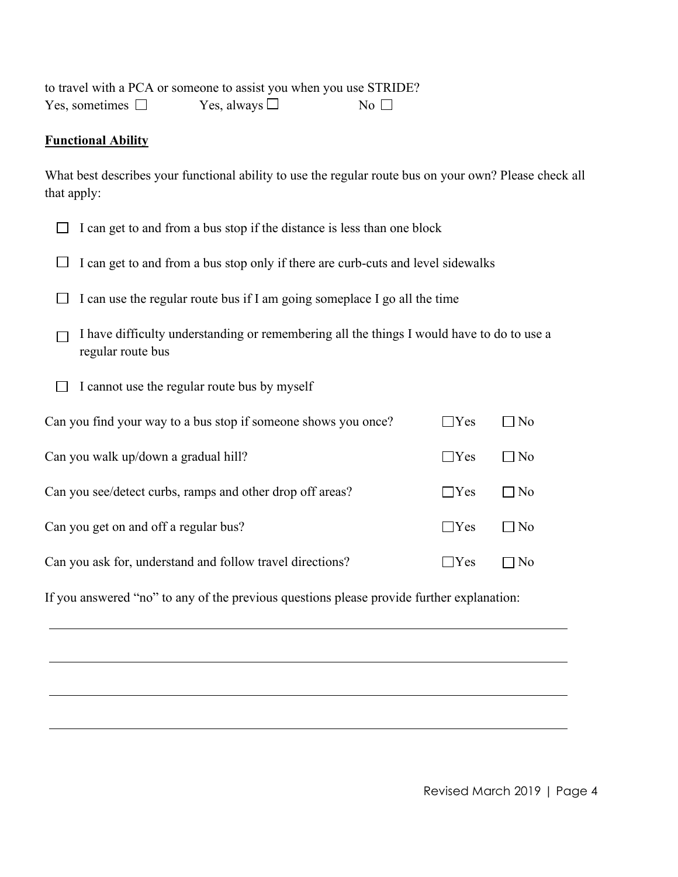to travel with a PCA or someone to assist you when you use STRIDE? Yes, sometimes  $\square$  Yes, always  $\square$  No  $\square$ 

#### **Functional Ability**

What best describes your functional ability to use the regular route bus on your own? Please check all that apply:

|                                                                                                                | I can get to and from a bus stop if the distance is less than one block            |            |           |  |
|----------------------------------------------------------------------------------------------------------------|------------------------------------------------------------------------------------|------------|-----------|--|
|                                                                                                                | I can get to and from a bus stop only if there are curb-cuts and level sidewalks   |            |           |  |
|                                                                                                                | I can use the regular route bus if I am going someplace I go all the time          |            |           |  |
| I have difficulty understanding or remembering all the things I would have to do to use a<br>regular route bus |                                                                                    |            |           |  |
|                                                                                                                | I cannot use the regular route bus by myself                                       |            |           |  |
|                                                                                                                | Can you find your way to a bus stop if someone shows you once?                     | $\Box$ Yes | $\Box$ No |  |
| Can you walk up/down a gradual hill?<br>$\Box$ Yes<br>$\Box$ No                                                |                                                                                    |            |           |  |
| Can you see/detect curbs, ramps and other drop off areas?<br>$\Box$ Yes<br>$\Box$ No                           |                                                                                    |            |           |  |
| $\Box$ Yes<br>Can you get on and off a regular bus?<br>$\Box$ No                                               |                                                                                    |            |           |  |
|                                                                                                                | Can you ask for, understand and follow travel directions?<br>Yes<br>N <sub>0</sub> |            |           |  |
|                                                                                                                |                                                                                    |            |           |  |

If you answered "no" to any of the previous questions please provide further explanation: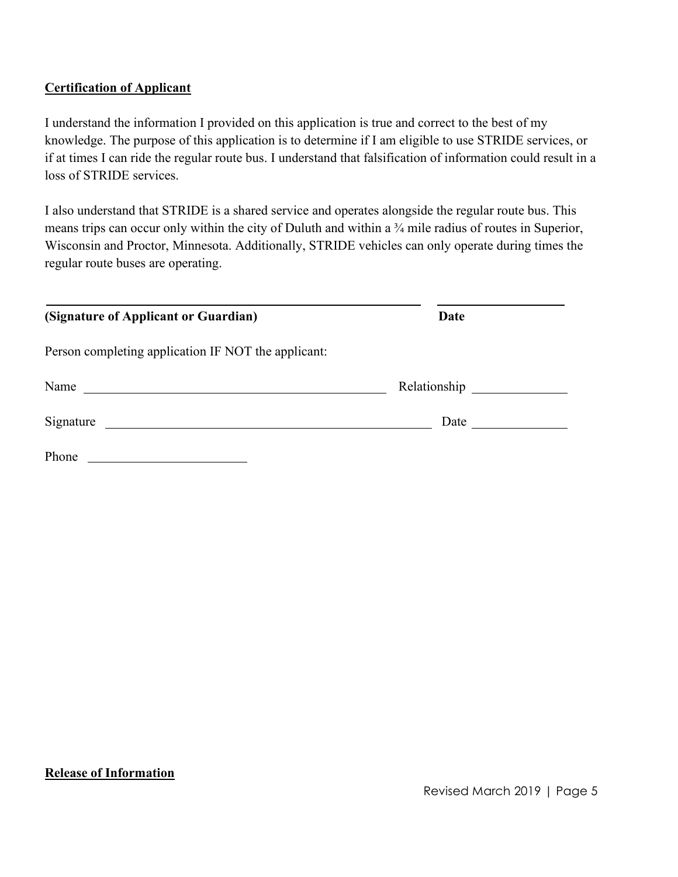## **Certification of Applicant**

I understand the information I provided on this application is true and correct to the best of my knowledge. The purpose of this application is to determine if I am eligible to use STRIDE services, or if at times I can ride the regular route bus. I understand that falsification of information could result in a loss of STRIDE services.

I also understand that STRIDE is a shared service and operates alongside the regular route bus. This means trips can occur only within the city of Duluth and within a <sup>3</sup>/4 mile radius of routes in Superior, Wisconsin and Proctor, Minnesota. Additionally, STRIDE vehicles can only operate during times the regular route buses are operating.

| (Signature of Applicant or Guardian)                | Date |  |
|-----------------------------------------------------|------|--|
| Person completing application IF NOT the applicant: |      |  |
| Name                                                |      |  |
| Signature                                           | Date |  |
| Phone                                               |      |  |

#### **Release of Information**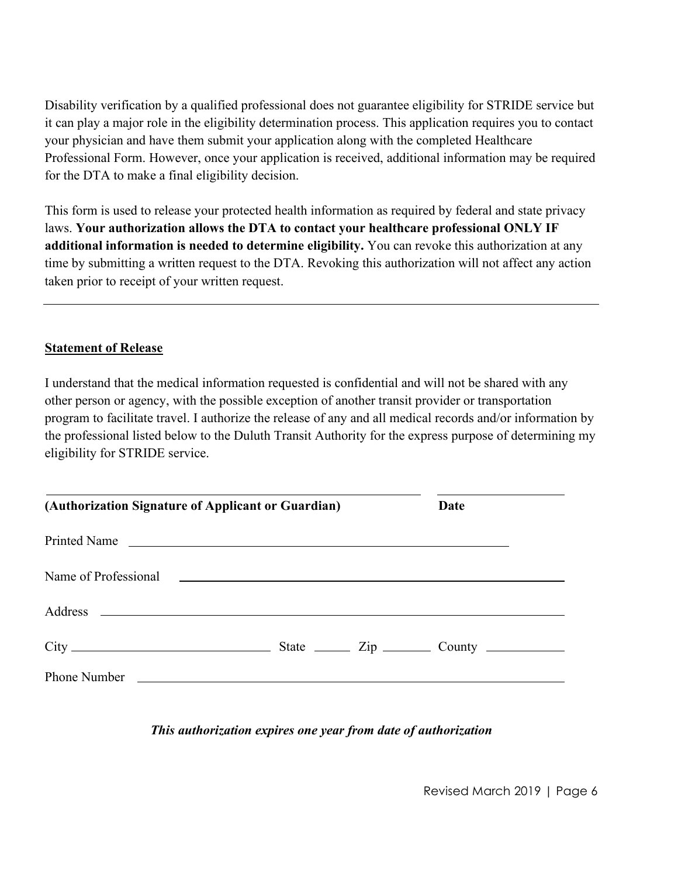Disability verification by a qualified professional does not guarantee eligibility for STRIDE service but it can play a major role in the eligibility determination process. This application requires you to contact your physician and have them submit your application along with the completed Healthcare Professional Form. However, once your application is received, additional information may be required for the DTA to make a final eligibility decision.

This form is used to release your protected health information as required by federal and state privacy laws. **Your authorization allows the DTA to contact your healthcare professional ONLY IF additional information is needed to determine eligibility.** You can revoke this authorization at any time by submitting a written request to the DTA. Revoking this authorization will not affect any action taken prior to receipt of your written request.

#### **Statement of Release**

I understand that the medical information requested is confidential and will not be shared with any other person or agency, with the possible exception of another transit provider or transportation program to facilitate travel. I authorize the release of any and all medical records and/or information by the professional listed below to the Duluth Transit Authority for the express purpose of determining my eligibility for STRIDE service.

| (Authorization Signature of Applicant or Guardian)                                                                                                                                                                             |  | Date |  |
|--------------------------------------------------------------------------------------------------------------------------------------------------------------------------------------------------------------------------------|--|------|--|
| Printed Name                                                                                                                                                                                                                   |  |      |  |
| Name of Professional 2008 and 2008 and 2008 and 2008 and 2010 and 2010 and 2010 and 2010 and 2010 and 2010 and 2010 and 2010 and 2010 and 2010 and 2010 and 2010 and 2010 and 2010 and 2010 and 2010 and 2010 and 2010 and 201 |  |      |  |
|                                                                                                                                                                                                                                |  |      |  |
|                                                                                                                                                                                                                                |  |      |  |
| Phone Number                                                                                                                                                                                                                   |  |      |  |

## *This authorization expires one year from date of authorization*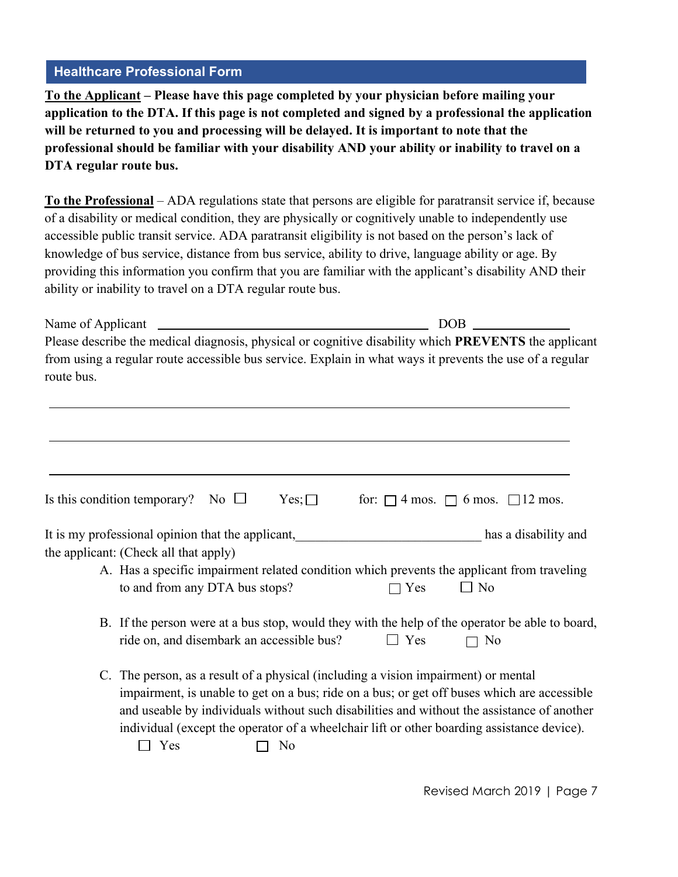### **Healthcare Professional Form**

**To the Applicant – Please have this page completed by your physician before mailing your application to the DTA. If this page is not completed and signed by a professional the application will be returned to you and processing will be delayed. It is important to note that the professional should be familiar with your disability AND your ability or inability to travel on a DTA regular route bus.** 

**To the Professional** – ADA regulations state that persons are eligible for paratransit service if, because of a disability or medical condition, they are physically or cognitively unable to independently use accessible public transit service. ADA paratransit eligibility is not based on the person's lack of knowledge of bus service, distance from bus service, ability to drive, language ability or age. By providing this information you confirm that you are familiar with the applicant's disability AND their ability or inability to travel on a DTA regular route bus.

| Name of Applicant                                                                                                      | DOB. |
|------------------------------------------------------------------------------------------------------------------------|------|
| Please describe the medical diagnosis, physical or cognitive disability which <b>PREVENTS</b> the applicant            |      |
| from using a regular route accessible bus service. Explain in what ways it prevents the use of a regular<br>route bus. |      |
|                                                                                                                        |      |

| Is this condition temporary? No $\square$ Yes; $\square$ |  |  | for: $\Box$ 4 mos. $\Box$ 6 mos. $\Box$ 12 mos. |  |
|----------------------------------------------------------|--|--|-------------------------------------------------|--|
|----------------------------------------------------------|--|--|-------------------------------------------------|--|

It is my professional opinion that the applicant, the same of the set of the set of the set of the set of the set of the set of the set of the set of the set of the set of the set of the set of the set of the set of the se the applicant: (Check all that apply)

- A. Has a specific impairment related condition which prevents the applicant from traveling to and from any DTA bus stops?  $\Box$  Yes  $\Box$  No
- B. If the person were at a bus stop, would they with the help of the operator be able to board, ride on, and disembark an accessible bus?  $\Box$  Yes  $\Box$  No
- C. The person, as a result of a physical (including a vision impairment) or mental impairment, is unable to get on a bus; ride on a bus; or get off buses which are accessible and useable by individuals without such disabilities and without the assistance of another individual (except the operator of a wheelchair lift or other boarding assistance device).

 $\Box$  Yes  $\Box$  No